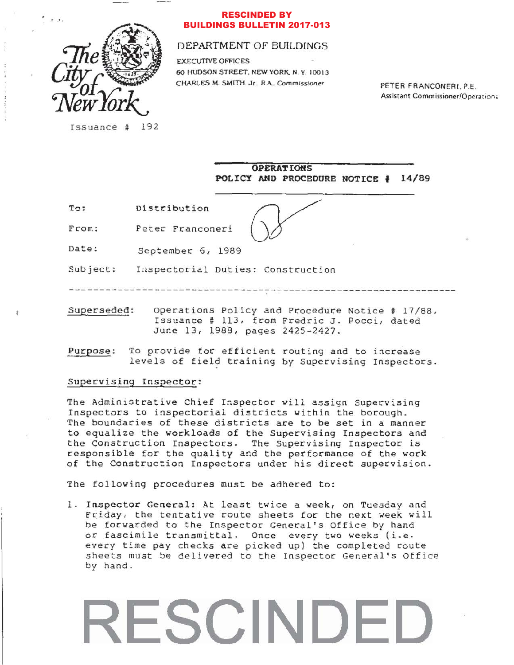

## **RESCINDED BY BUILDINGS BULLETIN 2017-013**

# DEPARTMENT OF BUILDINGS

**EXECUTIVE OFFICES** 60 HUDSON STREET, NEW YORK, N.Y. 10013 CHARLES M. SMITH. Jr., R.A., Commissioner

PETER FRANCONERI, P.E. Assistant Commissioner/Operations

Issuance # 192

**OPERATIONS** POLICY AND PROCEDURE NOTICE # 14/89

 $To:$ Distribution

From: Peter Franconeri

Date: September 6, 1989

Subject: Inspectorial Duties: Construction

------------------------------

Superseded: Operations Policy and Procedure Notice # 17/88, Issuance # 113, from Fredric J. Pocci, dated June 13, 1988, pages 2425-2427.

To provide for efficient routing and to increase Purpose: levels of field training by Supervising Inspectors.

## Supervising Inspector:

The Administrative Chief Inspector will assign Supervising Inspectors to inspectorial districts within the borough. The boundaries of these districts are to be set in a manner to equalize the workloads of the Supervising Inspectors and the Construction Inspectors. The Supervising Inspector is responsible for the quality and the performance of the work of the Construction Inspectors under his direct supervision.

The following procedures must be adhered to:

1. Inspector General: At least twice a week, on Tuesday and Friday, the tentative route sheets for the next week will be forwarded to the Inspector General's Office by hand or fascimile transmittal. Once every two weeks (i.e. every time pay checks are picked up) the completed route sheets must be delivered to the Inspector General's Office by hand.

# ESCINDED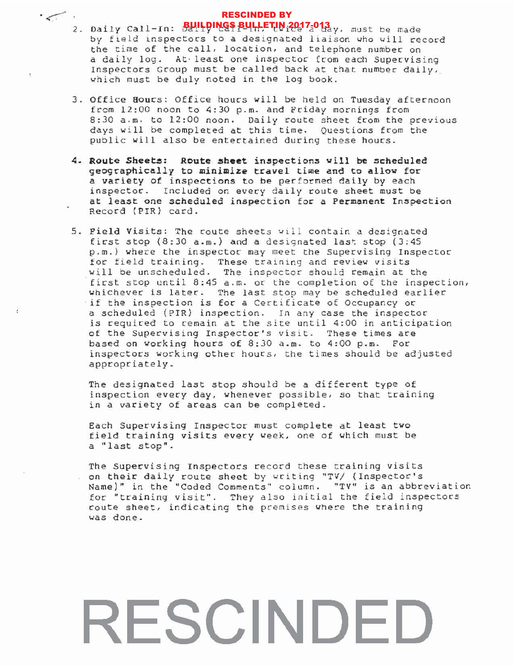# RESCINDED BY

- **RESCINDED BY**<br>BUILDINGS BULLETIN 2017-013 2. Daily Call-In: BUILPINGS BULLETIN<sub>1</sub>2017<sub>3</sub>013 y, must be made baily call in: baily call inv trice a day, mast be made by field inspectors to a designated liaison who will record<br>the time of the call, location, and telephone number on a daily log. At least one inspector from each Supervising Inspectors Group must be called back at that number daily, which must be duly noted in the log book.
	- 3. Office Hours: Office hours will be held on Tuesday afternoon from 12:00 noon to 4:30 p.m. and Friday mornings from 8:30 a.m. to 12:00 noon. Daily route sheet from the previous days will be completed at this time. Questions from the public will also be entertained during these hours.
	- 4. Route Sheets: Route sheet inspections will be scheduled geo9caphically to minimize travel time and to allow for a variety of inspections to be performed daily by each inspector. Included on every daily route sheet must be at least one scheduled inspection for a Permanent Inspection Record (PIR) card.
	- 5. Field Visits: The route sheets will contain a designated first stop  $(8:30 a.m.)$  and a designated last stop  $(3:45)$ p.m.) where the inspector may meet the Supervising Inspector for field training. These training and review visits will be unscheduled. The inspector should remain at the first stop until  $8:45$  a.m. or the completion of the inspection, whichever is later. The last stop may be scheduled earlier if the inspection is for a Certificate of Occupancy or a scheduled (PIR) inspection. In any case the inspector is required to remain at the site until 4:00 in anticipation of the Supervising Inspector's visit. These times are based on working hours of 8:30 a.m. to 4:00 p.m. For inspectors working other hours, the times should be adjusted appropriately.

ł.

The designated last stop should be a different type of inspection every day, whenever possible, so that training in a variety of areas can be completed.

Each Supervising Inspector must complete at least two field training visits every week, one of which must be a "last stop".

The Supervising Inspectors record these training visits on their daily route sheet by writing "TV/ (Inspector's Name)" in the "Coded Comments" column. "TV" is an abbreviation for "training visit". They also initial the field inspectors route sheet, indicating the premises where the training was done.

# RESCINDED